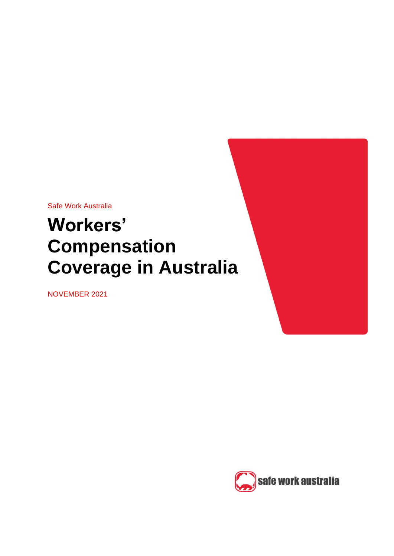Safe Work Australia

# **Workers' Compensation Coverage in Australia**

NOVEMBER 2021



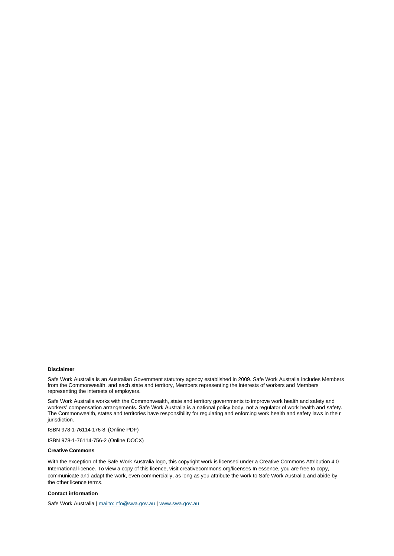#### **Disclaimer**

Safe Work Australia is an Australian Government statutory agency established in 2009. Safe Work Australia includes Members from the Commonwealth, and each state and territory, Members representing the interests of workers and Members representing the interests of employers.

Safe Work Australia works with the Commonwealth, state and territory governments to improve work health and safety and workers' compensation arrangements. Safe Work Australia is a national policy body, not a regulator of work health and safety. The Commonwealth, states and territories have responsibility for regulating and enforcing work health and safety laws in their jurisdiction.

ISBN 978-1-76114-176-8 (Online PDF)

ISBN 978-1-76114-756-2 (Online DOCX)

#### **Creative Commons**

With the exception of the Safe Work Australia logo, this copyright work is licensed under a Creative Commons Attribution 4.0 International licence. To view a copy of this licence, visit creativecommons.org/licenses In essence, you are free to copy, communicate and adapt the work, even commercially, as long as you attribute the work to Safe Work Australia and abide by the other licence terms.

#### **Contact information**

Safe Work Australia [| mailto:info@swa.gov.au](mailto:info@swa.gov.au) | [www.swa.gov.au](http://swa.hosts.application.enet/business-support/Communication/Documents/www.swa.gov.au)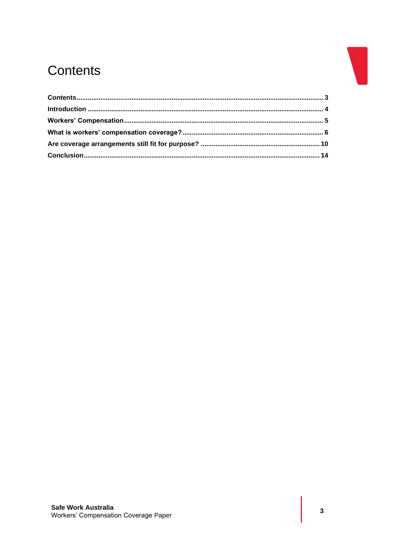# <span id="page-2-0"></span>Contents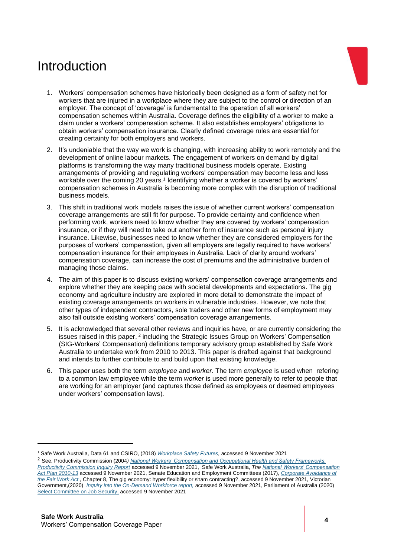# <span id="page-3-0"></span>Introduction



- 1. Workers' compensation schemes have historically been designed as a form of safety net for workers that are injured in a workplace where they are subject to the control or direction of an employer. The concept of 'coverage' is fundamental to the operation of all workers' compensation schemes within Australia. Coverage defines the eligibility of a worker to make a claim under a workers' compensation scheme. It also establishes employers' obligations to obtain workers' compensation insurance. Clearly defined coverage rules are essential for creating certainty for both employers and workers.
- 2. It's undeniable that the way we work is changing, with increasing ability to work remotely and the development of online labour markets. The engagement of workers on demand by digital platforms is transforming the way many traditional business models operate. Existing arrangements of providing and regulating workers' compensation may become less and less workable over the coming 20 years.<sup>1</sup> Identifying whether a worker is covered by workers' compensation schemes in Australia is becoming more complex with the disruption of traditional business models.
- 3. This shift in traditional work models raises the issue of whether current workers' compensation coverage arrangements are still fit for purpose. To provide certainty and confidence when performing work, workers need to know whether they are covered by workers' compensation insurance, or if they will need to take out another form of insurance such as personal injury insurance. Likewise, businesses need to know whether they are considered employers for the purposes of workers' compensation, given all employers are legally required to have workers' compensation insurance for their employees in Australia. Lack of clarity around workers' compensation coverage, can increase the cost of premiums and the administrative burden of managing those claims.
- 4. The aim of this paper is to discuss existing workers' compensation coverage arrangements and explore whether they are keeping pace with societal developments and expectations. The gig economy and agriculture industry are explored in more detail to demonstrate the impact of existing coverage arrangements on workers in vulnerable industries. However, we note that other types of independent contractors, sole traders and other new forms of employment may also fall outside existing workers' compensation coverage arrangements.
- 5. It is acknowledged that several other reviews and inquiries have, or are currently considering the issues raised in this paper, <sup>2</sup> including the Strategic Issues Group on Workers' Compensation (SIG-Workers' Compensation) definitions temporary advisory group established by Safe Work Australia to undertake work from 2010 to 2013. This paper is drafted against that background and intends to further contribute to and build upon that existing knowledge.
- 6. This paper uses both the term *employee* and *worker*. The term *employee* is used when refering to a common law employee while the term *worker* is used more generally to refer to people that are working for an employer (and captures those defined as employees or deemed employees under workers' compensation laws).

*<sup>1</sup>* Safe Work Australia, Data 61 and CSIRO, (2018) *[Workplace Safety Futures,](https://data61.csiro.au/en/Our-Research/Our-Work/Future-Cities/Planning-sustainable-infrastructure/WorkplaceSafety)* accessed 9 November 2021

<sup>2</sup> See, Productivity Commission (2004*) [National Workers' Compensation and Occupational Health and Safety Frameworks,](https://www.pc.gov.au/inquiries/completed/workers-compensation/report)  [Productivity Commission Inquiry Report](https://www.pc.gov.au/inquiries/completed/workers-compensation/report)* accessed 9 November 2021, Safe Work Australia, *Th[e National Workers' Compensation](http://civilforensicpsychiatry.com.au/wp-content/uploads/2013/04/NationalWorkersCompensationActionPlan2010_2013.pdf)  [Act Plan 2010-13](http://civilforensicpsychiatry.com.au/wp-content/uploads/2013/04/NationalWorkersCompensationActionPlan2010_2013.pdf)* accessed 9 November 2021, Senate Education and Employment Committees (2017), *[Corporate Avoidance of](https://www.aph.gov.au/Parliamentary_Business/Committees/Senate/Education_and_Employment/AvoidanceofFairWork)  [the Fair Work Act ,](https://www.aph.gov.au/Parliamentary_Business/Committees/Senate/Education_and_Employment/AvoidanceofFairWork)* Chapter 8, The gig economy: hyper flexibility or sham contracting?, accessed 9 November 2021*,* Victorian Government,(2020) *[Inquiry into the On-Demand Workforce report,](https://engage.vic.gov.au/inquiry-on-demand-workforce)* accessed 9 November 2021, Parliament of Australia (2020) [Select Committee on Job Security,](https://www.aph.gov.au/Parliamentary_Business/Committees/Senate/Job_Security/JobSecurity) accessed 9 November 2021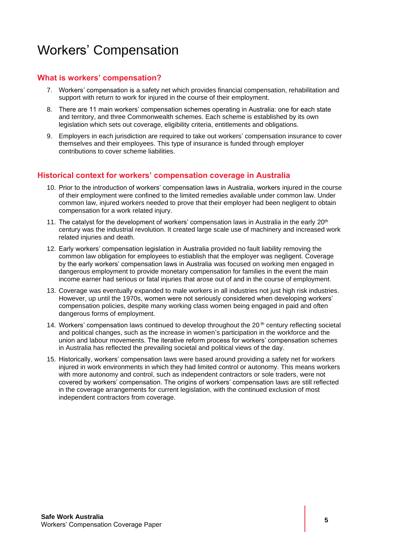# <span id="page-4-0"></span>Workers' Compensation

### **What is workers' compensation?**

- 7. Workers' compensation is a safety net which provides financial compensation, rehabilitation and support with return to work for injured in the course of their employment.
- 8. There are 11 main workers' compensation schemes operating in Australia: one for each state and territory, and three Commonwealth schemes. Each scheme is established by its own legislation which sets out coverage, eligibility criteria, entitlements and obligations.
- 9. Employers in each jurisdiction are required to take out workers' compensation insurance to cover themselves and their employees. This type of insurance is funded through employer contributions to cover scheme liabilities.

#### **Historical context for workers' compensation coverage in Australia**

- 10. Prior to the introduction of workers' compensation laws in Australia, workers injured in the course of their employment were confined to the limited remedies available under common law. Under common law, injured workers needed to prove that their employer had been negligent to obtain compensation for a work related injury.
- 11. The catalyst for the development of workers' compensation laws in Australia in the early  $20<sup>th</sup>$ century was the industrial revolution. It created large scale use of machinery and increased work related injuries and death.
- 12. Early workers' compensation legislation in Australia provided no fault liability removing the common law obligation for employees to estiablish that the employer was negligent. Coverage by the early workers' compensation laws in Australia was focused on working men engaged in dangerous employment to provide monetary compensation for families in the event the main income earner had serious or fatal injuries that arose out of and in the course of employment.
- 13. Coverage was eventually expanded to male workers in all industries not just high risk industries. However, up until the 1970s, women were not seriously considered when developing workers' compensation policies, despite many working class women being engaged in paid and often dangerous forms of employment.
- 14. Workers' compensation laws continued to develop throughout the 20<sup>th</sup> century reflecting societal and political changes, such as the increase in women's participation in the workforce and the union and labour movements. The iterative reform process for workers' compensation schemes in Australia has reflected the prevailing societal and political views of the day.
- 15. Historically, workers' compensation laws were based around providing a safety net for workers injured in work environments in which they had limited control or autonomy. This means workers with more autonomy and control, such as independent contractors or sole traders, were not covered by workers' compensation. The origins of workers' compensation laws are still reflected in the coverage arrangements for current legislation, with the continued exclusion of most independent contractors from coverage.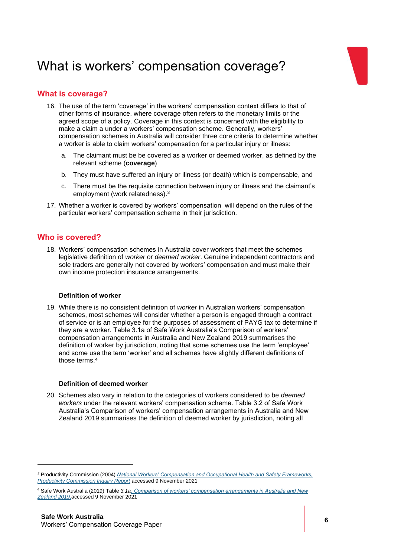# <span id="page-5-0"></span>What is workers' compensation coverage?



- 16. The use of the term 'coverage' in the workers' compensation context differs to that of other forms of insurance, where coverage often refers to the monetary limits or the agreed scope of a policy. Coverage in this context is concerned with the eligibility to make a claim a under a workers' compensation scheme. Generally, workers' compensation schemes in Australia will consider three core criteria to determine whether a worker is able to claim workers' compensation for a particular injury or illness:
	- a. The claimant must be be covered as a worker or deemed worker, as defined by the relevant scheme (**coverage**)
	- b. They must have suffered an injury or illness (or death) which is compensable, and
	- c. There must be the requisite connection between injury or illness and the claimant's employment (work relatedness).<sup>3</sup>
- 17. Whether a worker is covered by workers' compensation will depend on the rules of the particular workers' compensation scheme in their jurisdiction.

### **Who is covered?**

18. Workers' compensation schemes in Australia cover workers that meet the schemes legislative definition of *worker* or *deemed worker*. Genuine independent contractors and sole traders are generally not covered by workers' compensation and must make their own income protection insurance arrangements.

#### **Definition of worker**

19. While there is no consistent definition of *worker* in Australian workers' compensation schemes, most schemes will consider whether a person is engaged through a contract of service or is an employee for the purposes of assessment of PAYG tax to determine if they are a worker. Table 3.1a of Safe Work Australia's Comparison of workers' compensation arrangements in Australia and New Zealand 2019 summarises the definition of worker by jurisdiction, noting that some schemes use the term 'employee' and some use the term 'worker' and all schemes have slightly different definitions of those terms.<sup>4</sup>

#### **Definition of deemed worker**

20. Schemes also vary in relation to the categories of workers considered to be *deemed workers* under the relevant workers' compensation scheme. Table 3.2 of Safe Work Australia's Comparison of workers' compensation arrangements in Australia and New Zealand 2019 summarises the definition of deemed worker by jurisdiction, noting all

*<sup>3</sup>* Productivity Commission (2004) *[National Workers' Compensation and Occupational Health and Safety Frameworks,](https://www.pc.gov.au/inquiries/completed/workers-compensation/report)  [Productivity Commission Inquiry Report](https://www.pc.gov.au/inquiries/completed/workers-compensation/report)* accessed 9 November 2021

*<sup>4</sup>* Safe Work Australia (2019) Table *3.1[a, Comparison of workers' compensation arrangements in Australia and New](https://www.safeworkaustralia.gov.au/system/files/documents/2001/comparison-report-2019.pdf)  [Zealand 2019,](https://www.safeworkaustralia.gov.au/system/files/documents/2001/comparison-report-2019.pdf)*accessed 9 November 2021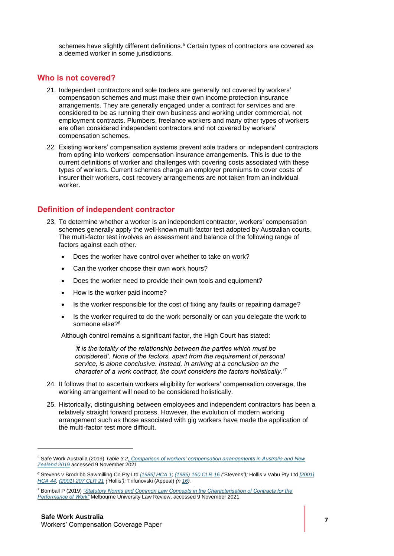schemes have slightly different definitions.<sup>5</sup> Certain types of contractors are covered as a deemed worker in some jurisdictions.

#### **Who is not covered?**

- 21. Independent contractors and sole traders are generally not covered by workers' compensation schemes and must make their own income protection insurance arrangements. They are generally engaged under a contract for services and are considered to be as running their own business and working under commercial, not employment contracts. Plumbers, freelance workers and many other types of workers are often considered independent contractors and not covered by workers' compensation schemes.
- 22. Existing workers' compensation systems prevent sole traders or independent contractors from opting into workers' compensation insurance arrangements. This is due to the current definitions of worker and challenges with covering costs associated with these types of workers. Current schemes charge an employer premiums to cover costs of insurer their workers, cost recovery arrangements are not taken from an individual worker.

#### **Definition of independent contractor**

- 23. To determine whether a worker is an independent contractor, workers' compensation schemes generally apply the well-known multi-factor test adopted by Australian courts. The multi-factor test involves an assessment and balance of the following range of factors against each other.
	- Does the worker have control over whether to take on work?
	- Can the worker choose their own work hours?
	- Does the worker need to provide their own tools and equipment?
	- How is the worker paid income?
	- Is the worker responsible for the cost of fixing any faults or repairing damage?
	- Is the worker required to do the work personally or can you delegate the work to someone else?<sup>6</sup>

Although control remains a significant factor, the High Court has stated:

*'it is the totality of the relationship between the parties which must be considered'. None of the factors, apart from the requirement of personal service, is alone conclusive. Instead, in arriving at a conclusion on the character of a work contract, the court considers the factors holistically.'<sup>7</sup>*

- 24. It follows that to ascertain workers eligibility for workers' compensation coverage, the working arrangement will need to be considered holistically.
- 25. Historically, distinguishing between employees and independent contractors has been a relatively straight forward process. However, the evolution of modern working arrangement such as those associated with gig workers have made the application of the multi-factor test more difficult.

*<sup>5</sup>* Safe Work Australia (2019) *Table 3.[2, Comparison of workers' compensation arrangements in Australia and New](https://www.safeworkaustralia.gov.au/system/files/documents/2001/comparison-report-2019.pdf)  [Zealand 2019](https://www.safeworkaustralia.gov.au/system/files/documents/2001/comparison-report-2019.pdf)* accessed 9 November 2021

*<sup>6</sup>* Stevens v Brodribb Sawmilling Co Pty Ltd *[\[1986\] HCA 1;](http://www.austlii.edu.au/au/cases/cth/HCA/1986/1.html) [\(1986\) 160 CLR 16](http://www5.austlii.edu.au/cgi-bin/LawCite?cit=%281986%29%20160%20CLR%2016) ('*Stevens*');* Hollis v Vabu Pty Ltd *[\[2001\]](http://www.austlii.edu.au/au/cases/cth/HCA/2001/44.html)  [HCA 44;](http://www.austlii.edu.au/au/cases/cth/HCA/2001/44.html) [\(2001\) 207 CLR 21](http://www5.austlii.edu.au/cgi-bin/LawCite?cit=%282001%29%20207%20CLR%2021) ('*Hollis*');* Trifunovski (Appeal) *(n [16\)](http://www5.austlii.edu.au/au/journals/MelbULawRw/2019/2019_2.html#_Ref400048938).*

*<sup>7</sup>* Bomball P (2019) *["Statutory Norms and Common Law Concepts in the Characterisation of Contracts for the](http://www5.austlii.edu.au/au/journals/MelbULawRw/2019/2.html)  [Performance of Work"](http://www5.austlii.edu.au/au/journals/MelbULawRw/2019/2.html)* Melbourne University Law Review, accessed 9 November 2021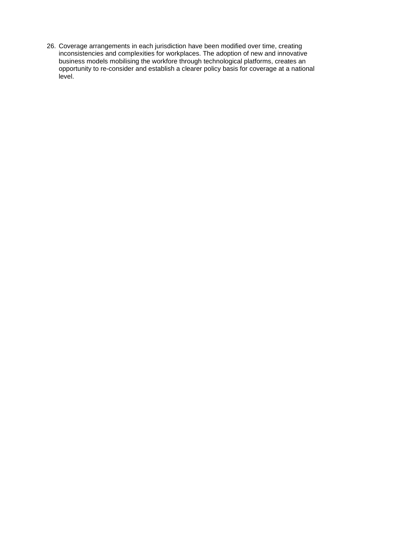26. Coverage arrangements in each jurisdiction have been modified over time, creating inconsistencies and complexities for workplaces. The adoption of new and innovative business models mobilising the workfore through technological platforms, creates an opportunity to re-consider and establish a clearer policy basis for coverage at a national level.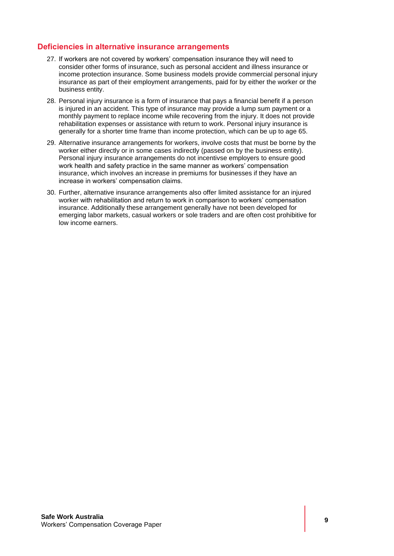### **Deficiencies in alternative insurance arrangements**

- 27. If workers are not covered by workers' compensation insurance they will need to consider other forms of insurance, such as personal accident and illness insurance or income protection insurance. Some business models provide commercial personal injury insurance as part of their employment arrangements, paid for by either the worker or the business entity.
- 28. Personal injury insurance is a form of insurance that pays a financial benefit if a person is injured in an accident. This type of insurance may provide a lump sum payment or a monthly payment to replace income while recovering from the injury. It does not provide rehabilitation expenses or assistance with return to work. Personal injury insurance is generally for a shorter time frame than income protection, which can be up to age 65.
- 29. Alternative insurance arrangements for workers, involve costs that must be borne by the worker either directly or in some cases indirectly (passed on by the business entity). Personal injury insurance arrangements do not incentivse employers to ensure good work health and safety practice in the same manner as workers' compensation insurance, which involves an increase in premiums for businesses if they have an increase in workers' compensation claims.
- 30. Further, alternative insurance arrangements also offer limited assistance for an injured worker with rehabilitation and return to work in comparison to workers' compensation insurance. Additionally these arrangement generally have not been developed for emerging labor markets, casual workers or sole traders and are often cost prohibitive for low income earners.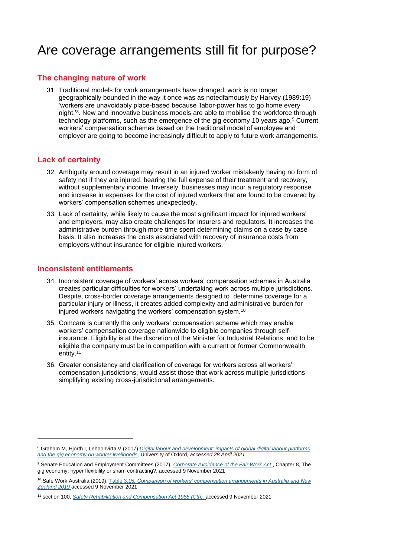# <span id="page-9-0"></span>Are coverage arrangements still fit for purpose?

### **The changing nature of work**

31. Traditional models for work arrangements have changed, work is no longer geographically bounded in the way it once was as notedfamously by Harvey (1989:19) 'workers are unavoidably place-based because 'labor-power has to go home every night.'<sup>8</sup> . New and innovative business models are able to mobilise the workforce through technology platforms, such as the emergence of the gig economy 10 years ago,<sup>9</sup> Current workers' compensation schemes based on the traditional model of employee and employer are going to become increasingly difficult to apply to future work arrangements.

#### **Lack of certainty**

- 32. Ambiguity around coverage may result in an injured worker mistakenly having no form of safety net if they are injured, bearing the full expense of their treatment and recovery, without supplementary income. Inversely, businesses may incur a regulatory response and increase in expenses for the cost of injured workers that are found to be covered by workers' compensation schemes unexpectedly.
- 33. Lack of certainty, while likely to cause the most significant impact for injured workers' and employers, may also create challenges for insurers and regulators. It increases the administrative burden through more time spent determining claims on a case by case basis. It also increases the costs associated with recovery of insurance costs from employers without insurance for eligible injured workers.

#### **Inconsistent entitlements**

- 34. Inconsistent coverage of workers' across workers' compensation schemes in Australia creates particular difficulties for workers' undertaking work across multiple jurisdictions. Despite, cross-border coverage arrangements designed to determine coverage for a particular injury or illness, it creates added complexity and administrative burden for injured workers navigating the workers' compensation system.<sup>10</sup>
- 35. Comcare is currently the only workers' compensation scheme which may enable workers' compensation coverage nationwide to eligible companies through selfinsurance. Eligibility is at the discretion of the Minister for Industrial Relations and to be eligible the company must be in competition with a current or former Commonwealth entity.<sup>11</sup>
- 36. Greater consistency and clarification of coverage for workers across all workers' compensation jurisdictions, would assist those that work across multiple jurisdictions simplifying existing cross-jurisdictional arrangements.

*<sup>8</sup>* Graham M, Hjorth I, Lehdonvirta V (2017) *[Digital labour and development: impacts of global digital labour platforms](file://///agencies.application.enet/SWA_HOME$/JC3858/Documents/Offline%20Records%20(ZZ)/GIG%20Economy/Digital%20labour%20and%20development.pdf)  [and the gig economy on worker livelihoods,](file://///agencies.application.enet/SWA_HOME$/JC3858/Documents/Offline%20Records%20(ZZ)/GIG%20Economy/Digital%20labour%20and%20development.pdf)* University of Oxford, *accessed 28 April 2021*

<sup>9</sup> Senate Education and Employment Committees (2017), *[Corporate Avoidance of the Fair Work Act](https://www.aph.gov.au/Parliamentary_Business/Committees/Senate/Education_and_Employment/AvoidanceofFairWork)* , Chapter 8, The gig economy: hyper flexibility or sham contracting?, accessed 9 November 2021

*<sup>10</sup>* Safe Work Australia (2019), Table 3.15*[, Comparison of workers' compensation arrangements in Australia and New](https://www.safeworkaustralia.gov.au/collection/comparison-workers-compensation-arrangements-australia-and-new-zealand)  [Zealand 2019](https://www.safeworkaustralia.gov.au/collection/comparison-workers-compensation-arrangements-australia-and-new-zealand)* accessed 9 November 2021

<sup>11</sup> section 100, *[Safety Rehabilitation and Compensation Act 1988](https://www.legislation.gov.au/Details/C2019C00158) (Cth),* accessed 9 November 2021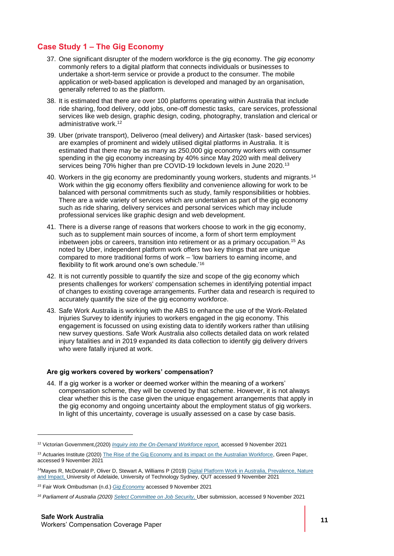### **Case Study 1 – The Gig Economy**

- 37. One significant disrupter of the modern workforce is the gig economy. The *gig economy* commonly refers to a digital platform that connects individuals or businesses to undertake a short-term service or provide a product to the consumer. The mobile application or web-based application is developed and managed by an organisation, generally referred to as the platform.
- 38. It is estimated that there are over 100 platforms operating within Australia that include ride sharing, food delivery, odd jobs, one-off domestic tasks, care services, professional services like web design, graphic design, coding, photography, translation and clerical or administrative work.<sup>12</sup>
- 39. Uber (private transport), Deliveroo (meal delivery) and Airtasker (task- based services) are examples of prominent and widely utilised digital platforms in Australia. It is estimated that there may be as many as 250,000 gig economy workers with consumer spending in the gig economy increasing by 40% since May 2020 with meal delivery services being 70% higher than pre COVID-19 lockdown levels in June 2020.<sup>13</sup>
- 40. Workers in the gig economy are predominantly young workers, students and migrants.<sup>14</sup> Work within the gig economy offers flexibility and convenience allowing for work to be balanced with personal commitments such as study, family responsibilities or hobbies. There are a wide variety of services which are undertaken as part of the gig economy such as ride sharing, delivery services and personal services which may include professional services like graphic design and web development.
- 41. There is a diverse range of reasons that workers choose to work in the gig economy, such as to supplement main sources of income, a form of short term employment inbetween jobs or careers, transition into retirement or as a primary occupation.<sup>15</sup> As noted by Uber, independent platform work offers two key things that are unique compared to more traditional forms of work – 'low barriers to earning income, and flexibility to fit work around one's own schedule.'<sup>16</sup>
- 42. It is not currently possible to quantify the size and scope of the gig economy which presents challenges for workers' compensation schemes in identifying potential impact of changes to existing coverage arrangements. Further data and research is required to accurately quantify the size of the gig economy workforce.
- 43. Safe Work Australia is working with the ABS to enhance the use of the Work-Related Injuries Survey to identify injuries to workers engaged in the gig economy. This engagement is focussed on using existing data to identify workers rather than utilising new survey questions. Safe Work Australia also collects detailed data on work related injury fatalities and in 2019 expanded its data collection to identify gig delivery drivers who were fatally injured at work.

#### **Are gig workers covered by workers' compensation?**

44. If a gig worker is a worker or deemed worker within the meaning of a workers' compensation scheme, they will be covered by that scheme. However, it is not always clear whether this is the case given the unique engagement arrangements that apply in the gig economy and ongoing uncertainty about the employment status of gig workers. In light of this uncertainty, coverage is usually assessed on a case by case basis.

<sup>12</sup> Victorian Government,(2020) *[Inquiry into the On-Demand Workforce report,](https://engage.vic.gov.au/inquiry-on-demand-workforce)* accessed 9 November 2021

<sup>&</sup>lt;sup>13</sup> Actuaries Institute (2020) [The Rise of the Gig Economy and its impact on the Australian Workforce,](https://www.actuaries.asn.au/public-policy-and-media/thought-leadership/green-papers/the-rise-of-the-gig-economy-and-its-impact-on-the-australian-workforce) Green Paper, accessed 9 November 2021

*<sup>14</sup>*Mayes R, McDonald P, Oliver D, Stewart A, Williams P (2019) [Digital Platform Work in Australia, Prevalence, Nature](https://eprints.qut.edu.au/203119/1/65060881.pdf)  [and Impact,](https://eprints.qut.edu.au/203119/1/65060881.pdf) University of Adelaide, University of Technology Sydney, QUT accessed 9 November 2021

*<sup>15</sup>* Fair Work Ombudsman (n.d.) *[Gig Economy](https://www.fairwork.gov.au/find-help-for/independent-contractors/gig-economy)* accessed 9 November 2021

*<sup>16</sup> Parliament of Australia (2020[\) Select Committee on Job Security,](https://www.aph.gov.au/Parliamentary_Business/Committees/Senate/Job_Security/JobSecurity)* Uber submission, accessed 9 November 2021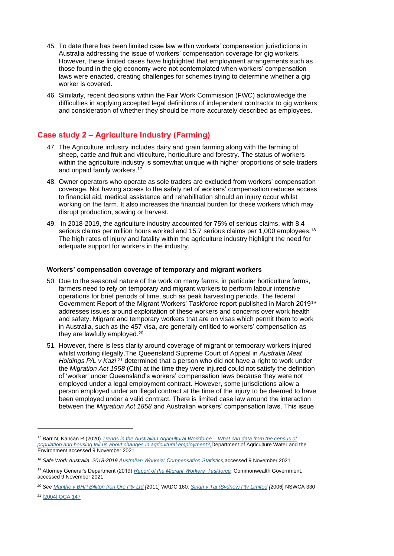- 45. To date there has been limited case law within workers' compensation jurisdictions in Australia addressing the issue of workers' compensation coverage for gig workers. However, these limited cases have highlighted that employment arrangements such as those found in the gig economy were not contemplated when workers' compensation laws were enacted, creating challenges for schemes trying to determine whether a gig worker is covered.
- 46. Similarly, recent decisions within the Fair Work Commission (FWC) acknowledge the difficulties in applying accepted legal definitions of independent contractor to gig workers and consideration of whether they should be more accurately described as employees.

### **Case study 2 – Agriculture Industry (Farming)**

- 47. The Agriculture industry includes dairy and grain farming along with the farming of sheep, cattle and fruit and viticulture, horticulture and forestry. The status of workers within the agriculture industry is somewhat unique with higher proportions of sole traders and unpaid family workers.<sup>17</sup>
- 48. Owner operators who operate as sole traders are excluded from workers' compensation coverage. Not having access to the safety net of workers' compensation reduces access to financial aid, medical assistance and rehabilitation should an injury occur whilst working on the farm. It also increases the financial burden for these workers which may disrupt production, sowing or harvest.
- 49. In 2018-2019, the agriculture industry accounted for 75% of serious claims, with 8.4 serious claims per million hours worked and 15.7 serious claims per 1,000 employees.<sup>18</sup> The high rates of injury and fatality within the agriculture industry highlight the need for adequate support for workers in the industry.

#### **Workers' compensation coverage of temporary and migrant workers**

- 50. Due to the seasonal nature of the work on many farms, in particular horticulture farms, farmers need to rely on temporary and migrant workers to perform labour intensive operations for brief periods of time, such as peak harvesting periods. The federal Government Report of the Migrant Workers' Taskforce report published in March 2019<sup>19</sup> addresses issues around exploitation of these workers and concerns over work health and safety. Migrant and temporary workers that are on visas which permit them to work in Australia, such as the 457 visa, are generally entitled to workers' compensation as they are lawfully employed.<sup>20</sup>
- 51. However, there is less clarity around coverage of migrant or temporary workers injured whilst working illegally.The Queensland Supreme Court of Appeal in *Australia Meat Holdings P/L v Kazi* <sup>21</sup> determined that a person who did not have a right to work under the *Migration Act 1958* (Cth) at the time they were injured could not satisfy the definition of 'worker' under Queensland's workers' compensation laws because they were not employed under a legal employment contract. However, some jurisdictions allow a person employed under an illegal contract at the time of the injury to be deemed to have been employed under a valid contract. There is limited case law around the interaction between the *Migration Act 1858* and Australian workers' compensation laws. This issue

*<sup>17</sup>* Barr N, Kancan R (2020) *[Trends in the Australian Agricultural Workforce –](https://www.awe.gov.au/abares/research-topics/labour/australian-agricultural-workforce-trends) What can data from the census of [population and housing tell us about changes in agricultural employment?,](https://www.awe.gov.au/abares/research-topics/labour/australian-agricultural-workforce-trends)*Department of Agriculture Water and the Environment accessed 9 November 2021

*<sup>18</sup> Safe Work Australia, 2018-2019 [Australian Workers' Compensation Statistics,](https://www.safeworkaustralia.gov.au/collection/australian-workers-compensation-statistics)*accessed 9 November 2021

*<sup>19</sup>* Attorney General's Department (2019) *[Report of the Migrant Workers' Taskforce,](https://www.ag.gov.au/industrial-relations/publications/report-migrant-workers-taskforce)* Commonwealth Government, accessed 9 November 2021

*<sup>20</sup> See [Manthe v BHP Billiton Iron Ore Pty Ltd](http://www.austlii.edu.au/cgi-bin/viewdoc/au/cases/wa/WADC/2011/160.html?context=1;query=Manthe%20v%20BHP%20Billiton%20Iron%20Ore%20Pty%20Ltd%20;mask_path=) [*2011] WADC 160*; [Singh v Taj \(Sydney\) Pty Limited](http://www.austlii.edu.au/cgi-bin/viewdoc/au/cases/nsw/NSWCA/2006/330.html?context=1;query=Singh%20v%20Taj%20(Sydney)%20Pty%20Limited%20;mask_path=) [*2006] NSWCA 330

<sup>21</sup> [\[2004\] QCA 147](http://www.austlii.edu.au/cgi-bin/viewdoc/au/cases/qld/QCA/2004/147.html?context=1;query=Australia%20Meat%20Holdings%20P/L%20v%20Kazi%20;mask_path=)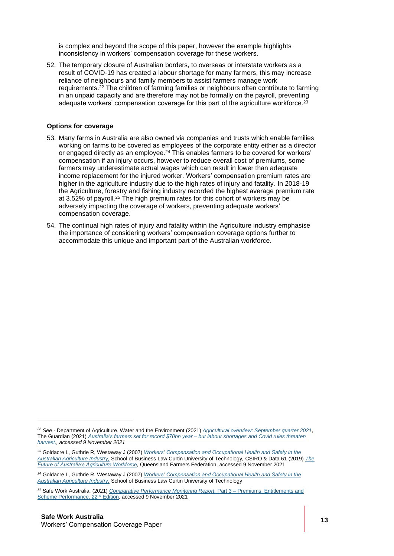is complex and beyond the scope of this paper, however the example highlights inconsistency in workers' compensation coverage for these workers.

52. The temporary closure of Australian borders, to overseas or interstate workers as a result of COVID-19 has created a labour shortage for many farmers, this may increase reliance of neighbours and family members to assist farmers manage work requirements.<sup>22</sup> The children of farming families or neighbours often contribute to farming in an unpaid capacity and are therefore may not be formally on the payroll, preventing adequate workers' compensation coverage for this part of the agriculture workforce.<sup>23</sup>

#### **Options for coverage**

- 53. Many farms in Australia are also owned via companies and trusts which enable families working on farms to be covered as employees of the corporate entity either as a director or engaged directly as an employee. $24$  This enables farmers to be covered for workers' compensation if an injury occurs, however to reduce overall cost of premiums, some farmers may underestimate actual wages which can result in lower than adequate income replacement for the injured worker. Workers' compensation premium rates are higher in the agriculture industry due to the high rates of injury and fatality. In 2018-19 the Agriculture, forestry and fishing industry recorded the highest average premium rate at 3.52% of payroll.<sup>25</sup> The high premium rates for this cohort of workers may be adversely impacting the coverage of workers, preventing adequate workers' compensation coverage.
- <span id="page-12-0"></span>54. The continual high rates of injury and fatality within the Agriculture industry emphasise the importance of considering workers' compensation coverage options further to accommodate this unique and important part of the Australian workforce.

*<sup>22</sup> See -* Department of Agriculture, Water and the Environment (2021) *[Agricultural overview: September quarter 2021,](https://www.awe.gov.au/abares/research-topics/agricultural-outlook/agriculture-overview)*  The Guardian (2021) *[Australia's farmers set for record \\$70bn year –](https://www.theguardian.com/australia-news/2021/sep/15/australias-farmers-set-for-record-70bn-year-but-labour-shortages-and-covid-rules-threaten-harvest) but labour shortages and Covid rules threaten [harvest,,](https://www.theguardian.com/australia-news/2021/sep/15/australias-farmers-set-for-record-70bn-year-but-labour-shortages-and-covid-rules-threaten-harvest) accessed 9 November 2021*

*<sup>23</sup>* Goldacre L, Guthrie R, Westaway J (2007) *[Workers' Compensation and Occupational Health and Safety in the](http://www.austlii.edu.au/au/journals/LegIssBus/2007/3.pdf)  [Australian Agriculture Industry,](http://www.austlii.edu.au/au/journals/LegIssBus/2007/3.pdf)* School of Business Law Curtin University of Technology*,* CSIRO & Data 61 (2019) *[The](https://www.qff.org.au/blog/future-australias-agricultural-workforce-report/)  [Future of Australia's Agriculture Workforce,](https://www.qff.org.au/blog/future-australias-agricultural-workforce-report/)* Queensland Farmers Federation, accessed 9 November 2021

*<sup>24</sup>* Goldacre L, Guthrie R, Westaway J (2007) *[Workers' Compensation and Occupational Health and Safety in the](http://www.austlii.edu.au/au/journals/LegIssBus/2007/3.pdf)  [Australian Agriculture Industry,](http://www.austlii.edu.au/au/journals/LegIssBus/2007/3.pdf)* School of Business Law Curtin University of Technology

*<sup>25</sup>* Safe Work Australia, (2021) *[Comparative Performance Monitoring Report,](https://www.safeworkaustralia.gov.au/collection/comparative-performance-monitoring-reports)* Part 3 – Premiums, Entitlements and [Scheme Performance, 22](https://www.safeworkaustralia.gov.au/collection/comparative-performance-monitoring-reports)nd Edition, accessed 9 November 2021